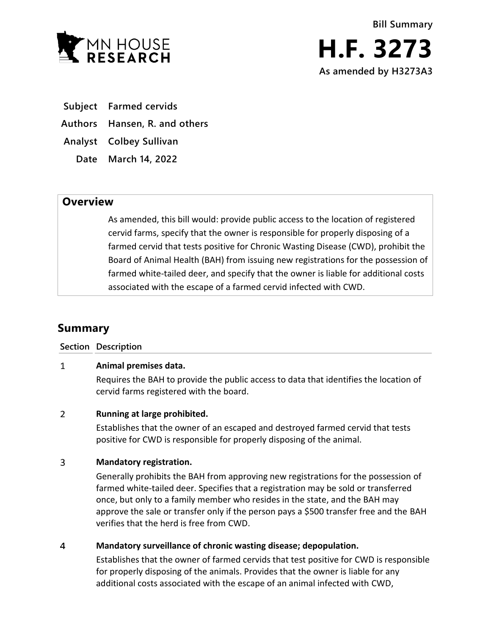

- **Subject Farmed cervids**
- **Authors Hansen, R. and others**
- **Analyst Colbey Sullivan**
	- **Date March 14, 2022**

## **Overview**

As amended, this bill would: provide public access to the location of registered cervid farms, specify that the owner is responsible for properly disposing of a farmed cervid that tests positive for Chronic Wasting Disease (CWD), prohibit the Board of Animal Health (BAH) from issuing new registrations for the possession of farmed white-tailed deer, and specify that the owner is liable for additional costs associated with the escape of a farmed cervid infected with CWD.

# **Summary**

### **Section Description**

#### $\mathbf{1}$ **Animal premises data.**

Requires the BAH to provide the public access to data that identifies the location of cervid farms registered with the board.

#### $\overline{2}$ **Running at large prohibited.**

Establishes that the owner of an escaped and destroyed farmed cervid that tests positive for CWD is responsible for properly disposing of the animal.

#### $\overline{3}$ **Mandatory registration.**

Generally prohibits the BAH from approving new registrations for the possession of farmed white-tailed deer. Specifies that a registration may be sold or transferred once, but only to a family member who resides in the state, and the BAH may approve the sale or transfer only if the person pays a \$500 transfer free and the BAH verifies that the herd is free from CWD.

#### $\overline{4}$ **Mandatory surveillance of chronic wasting disease; depopulation.**

Establishes that the owner of farmed cervids that test positive for CWD is responsible for properly disposing of the animals. Provides that the owner is liable for any additional costs associated with the escape of an animal infected with CWD,